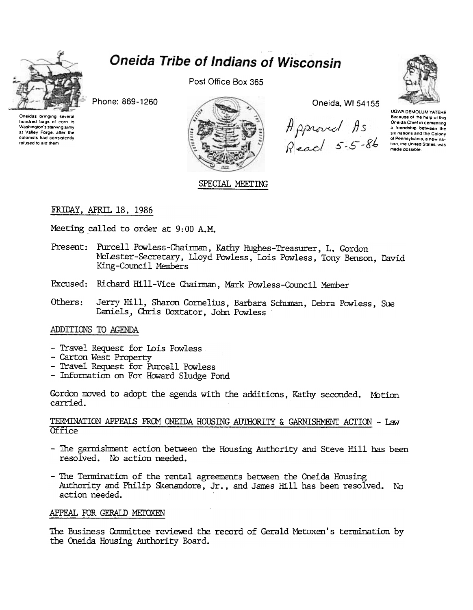

# **Oneida Tribe of Indians of Wisconsin**

Phone: 869-1260



Post Office Box 365



SPECIAL MEETING

Oneida, WI 54155

Approved As<br>Reach 5-5-86



UGWA DEMOLUM YATEHE Because of the help of this Oneida Chief in cementing a friendship between the six nations and the Colony of Pennsylvania, a new nation, the United States, was made possible

### FRIDAY, APRIL 18, 1986

Meeting called to order at 9:00 A.M.

- Present: Purcell Powless-Chairman, Kathy Hughes-Treasurer, L. Gordon McLester-Secretary, Lloyd Powless, Lois Powless, Tony Benson, David King-Council Members
- Excused: Richard Hill-Vice Chairman, Mark Powless-Council Member
- Others: Jerry Hill, Sharon Cornelius, Barbara Schuman, Debra Powless, Sue Daniels, Chris Doxtator, John Powless

### ADDITIONS TO AGENDA

- Travel Request for Lois Powless
- Carton West Property
- Travel Request for Purcell Powless
- Information on For Howard Sludge Pond

Gordon moved to adopt the agenda with the additions, Kathy seconded. Motion carried.

### TERMINATION APPEALS FROM ONEIDA HOUSING AUTHORITY & GARNISHMENT ACTION - Law Office

- The garnishment action between the Housing Authority and Steve Hill has been resolved. No action needed.
- The Termination of the rental agreements between the Cneida Housing Authority and Philip Skenandore, Jr., and James Hill has been resolved. No action needed.

### APPEAL FOR GERALD METOXEN

The Business Committee reviewed the record of Gerald Metoxen's termination by the Oneida Housing Authority Board.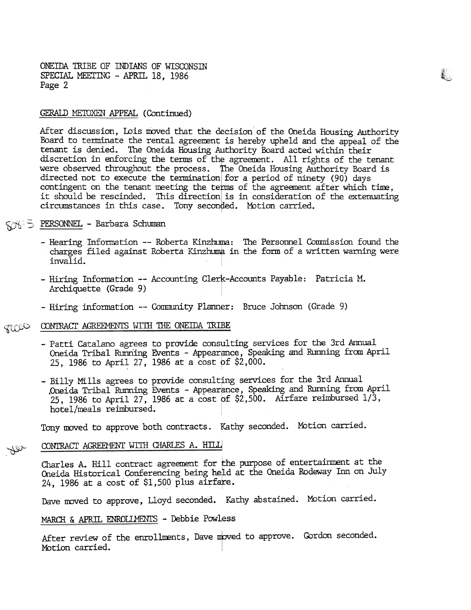ONEIDA TRIBE OF INDIANS OF WISCONSIN SPECIAL MEETING - APRIL 18, 1986 Page 2

### GERALD METOXEN APPEAL (Continued)

After discussion, Lois moved that the decision of the Oneida Housing Authority Board to terminate the rental agreement is hereby upheld and the appeal of the tenant is denied. The Oneida Housing Authority Board acted within their discretion in enforcing the terms of the agreement. All rights of the tenant were observed throughout the process. The Oneida Housing Authority Board is directed not to execute the termination for a period of ninety (90) days contingent on the tenant meeting the terms of the agreement after which time, it should be rescinded. This direction is in consideration of the extenuating circumstances in this case. Tony seconded. Motion carried.

 $\tilde{\epsilon}$  ,

## ~<& 'c S' PERSONNEL -Barbara Schumgn

- Hearing Information -- Roberta Kinzhuma: The Personnel Commission found the charges filed against Roberta Kinzhuma in the form of a written warning were invalid.
- Hiring Information -- Accounting Clerk-Accounts Payable: Patricia M. Archiquette (Grade 9)
- Hiring information -- Community Planner: Bruce Johnson (Grade 9)

## TION CONTRACT AGREEMENTS WITH THE ONETDA TRIBE

- Patti Catalano agrees to provide consulting services for the 3rd Annual Oneida Tribal Running Events - Appearance, Speaking and Running from Apri 25, 1986 to April 27, 1986 at a cost of \$2,000.
- Billy Mills agrees to provide consulting services for the 3rd Annual Oneida Tribal Running Events - Appearance, Speaking and Running from April 25, 1986 to April 27, 1986 at a cost of  $$2,500$ . Airfare reimbursed  $1/3$ , hotel/meals reimbursed.

Tony moved to approve both contracts. Kathy seconded. Motion carried.

#### CONTRACT AGREEMENT WITH CHARLES A. HILL ~<del>\</del>SS

CONTRACT AGREEMENT WITH CHARLES A. HILL<br>Charles A. Hill contract agreement for the purpose of entertainment at the Oneida Historical Conferencing being held at the Oneida Rodeway Inn on July 24, 1986 at a cost of  $$1,500$  plus airfare.

Dave moved to approve, Lloyd seconded. Kathy abstained. Motion carried.

#### MARCH & APRIL ENROLLMENTS - Debbie Powless

After review of the enrollments, Dave moved to approve. Gordon seconded. Motion carried.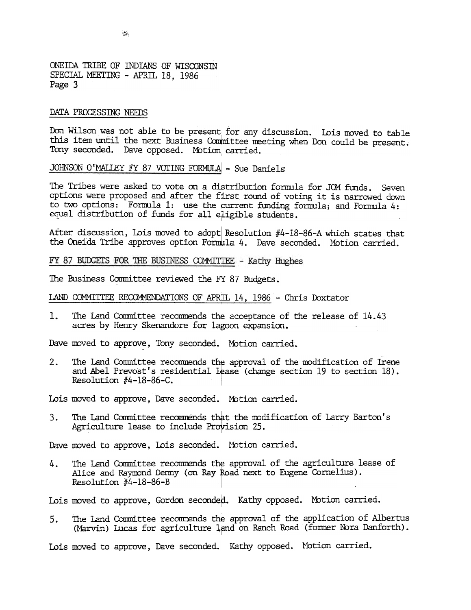ONEillA TRIBE OF INDIANS OF WISCONSIN SPECIAL MEETING - APRIL 18, 1986 Page 3

### DATA PROCESSING NEEDS

Don Wilson was not able to be present for any discussion. Lois moved to table this item until the next Business Committee meeting when Don could be present. Tony seconded. Dave opposed. Motion carried.

JOHNSON O'MALLEY FY 87 VOTING FORMULA - Sue Daniels

The Tribes were asked to vote on a distribution formula for JOM funds. Seven options were proposed and after the first round of voting it is narrowed down to two options: Formula 1: use the current funding formula; and Formula 4: equal distribution of funds for all eligible students.

After discussion, Lois moved to adopt Resolution  $#4-18-86-A$  which states that the Oneida Tribe approves option Formula 4. Dave seconded. Motion carried.

FY 87 BUDGETS FOR THE BUSINESS COMMITTEE - Kathy Hughes

The Business Committee reviewed the FY 87 Budgets.

LAND COMMITTEE RECOMMENDATIONS OF APRIL 14, 1986 - Chris Doxtator

 $\mathbf{1}$ . The Land Committee recommends the acceptance of the release of 14.43 acres by Henry Skenandore for lagoon expansion.

Dave moved to approve, Tony seconded. Motion carried.

 $2.$ The Land Conmittee recommends the approval of the modification of Irene and Abel Prevost's residential lease (change section 19 to section 18). Resolution  $#4-18-86-C$ .

Lois moved to approve, Dave seconded. Motion carried.

The Land Committee recommends that the modification of Larry Barton's  $3.$ Agriculture lease to include Provision 25.

Dave moved to approve, Lois seconded. Motion carried.<br>4. The Land Committee recommends the approval of the Alice and Raymond Demny (on Ray Road next to Eug Resolution #4-18-86-B<br>Lois moved to approve, Gordon seconded. Kath The Land Committee recommends the approval of the agriculture lease of Alice and Raymond Denny (on Ray Road next to Eugene Cornelius). Resolution #4-18-86-B

Lois moved to approve, Gordon seconded. Kathy opposed. Motion carrie<br>5. The Land Committee recommends the approval of the application of<br>(Marvin) Lucas for agriculture land on Ranch Road (former Nora Da<br>Lois moved to appro 5. The Land Committee recommends the approval of the application of Albertus (Marvin) Lucas for agriculture land on Ranch Road (former Nora Danforth

Lois moved to approve, Dave seconded. Kathy opposed. Motion carried.

 $\frac{1}{2}$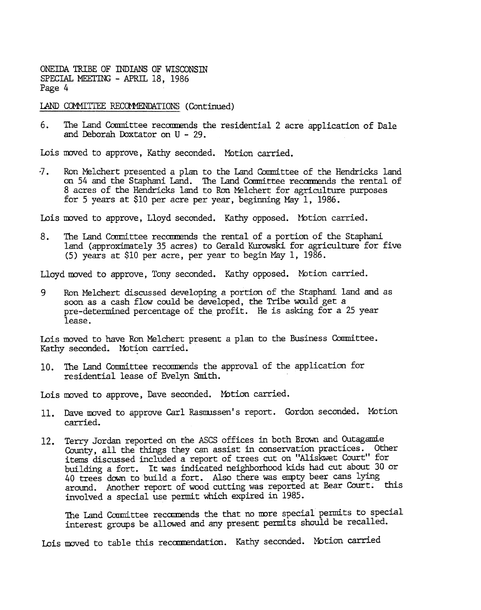ONEIDA TRIBE OF INDIANS OF WISCONSIN SPECIAL MEETING - APRIL 18, 1986 Page 4

LAND COMMITTEE RECOMMENDATIONS (Continued)

6. The Land Committee recommends the residential 2 acre application of Dale and Deborah Doxtator on U -29.

Lois moved to approve, Kathy seconded. Motion carried.

-7. Ron Melchert presented a plan to the Land Committee of the Hendricks land on 54 and the Staphani Land. The Land Committee recommends the rental of 8 acres of the Hendricks land to Ron Melchert for agriculture purposes for 5 years at \$10 per acre per year, beginning May 1, 1986.

Lois moved to approve, Lloyd seconded. Kathy opposed. Motion carried.

8. The Land Committee recommends the rental of a portion of the Staphani land (approximately 35 acres) to Gerald Kurowski for agriculture for five (5) years at \$10 per acre, per year to begin May 1, 1986.

Lloyd moved to approve, Tony seconded. Kathy opposed. Motion carried.

9 Ron Melchert discussed developing a portion of the Staphani land and as soon as a cash flow could be developed, the Tribe would get a pre-determined percentage of the profit. He is asking for a 25 year lease.

Lois moved to have Ron Melchert present a plan to the Business Conmittee. Kathy seconded. Motion carried.

10. The Land Committee recommends the approval of the application for residential lease of Evelyn Smith.

Lois moved to approve, Dave seconded. Motion carried.

- Dave moved to approve Carl Rasmussen's report. Gordon seconded. Motion carried.
- Terry Jordan reported on the ASCS offices in both Brown and Outagamie County. all the things they can assist in conservation practices. Other items discussed included a report of trees cut on "Aliskwet Court" for building a fort. It was indicated neighborhood kids had cut about 30 or 40 trees down to build a fort. Also there was empty beer cans lying around. Another report of wood cutting was reported at Bear Court. this involved a special use permit which expired in 1985.

The Land Committee recommends the that no more special permits to special interest groups be allowed and any present permits should be recalled.<br>Lois moved to table this recommendation. Kathy seconded. Motion carried The Land Committee recommends the that no more special permits to special interest groups be allowed and any present permits should be recalled.

Lois moved to table this recommendation. Kathy seconded. Motion carrie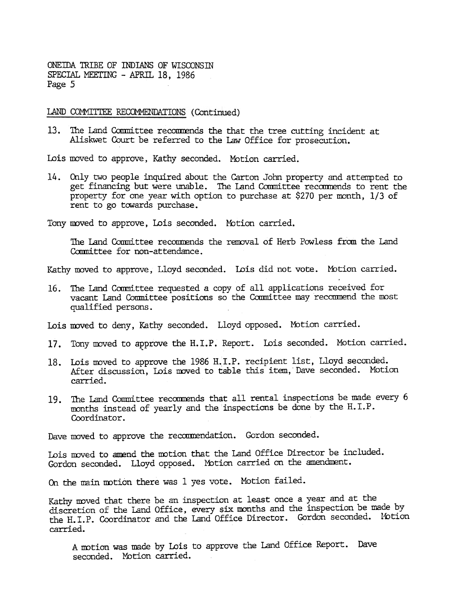ONEmA TRIBE OF INDIANS OF WISCONSm SPECIAL MEETING - APRIL 18, 1986 Page 5

LAND COMMITTEE RECOMMENDATIONS (Continued)

13. The Land Committee recommends the that the tree cutting incident at Aliskwet Court be referred to the law Office for prosecution.

Lois moved to approve, Kathy seconded. Motion carried.

14. Only two people inquired about the Carton John property ad attempted to the carton John property for car pear with option to purchase at \$270 per month, 1/3 of Teny moved to supprove, Lois seconded. Mution carried.<br>The get financing but were unable. The Land Committee recommends to rent the property for one year with option to purchase at  $$270$  per month,  $1/3$  of rent to go towards purchase.

Tony moved to approve, Lois seconded. Motion carried.

The Land Committee recommends the removal of Herb Powless from the Land Committee for non-attendance.

Kathy moved to approve, Lloyd seconded. Lois did not vote. Motion carried.

The Land Committee requested a copy of all applications received for vacant Land Committee positions so the Committee may recommend the most qualified persons.

- 17. Tony moved to approve the H.I.P. Report. Lois seconded. Motion carried.
- 18. Lois moved to approve the 1986 H.I.P. recipient list, Lloyd seconded. After discussion, Lois moved to table this item, Dave seconded. Motion carried.
- months instead of yearly and the inspections be done by the H.I.P. Coordinator.

Lois moved to amend the motion that the Land Office Director be included. Gordon seconded. Lloyd opposed. Motion carried on the amendment.

On the main motion there was 1 yes vote. Motion failed.

Lois moved to deny, Kathy seconded. Lloyd opposed. Motion carried.<br>
17. Tony moved to approve the H.I.P. Report. Lois seconded. Motion and<br>
18. Lois moved to approve the 1986 H.I.P. recipient list, Lloyd seconded.<br>
2016 an 19. The Land Committee recommends that all rental inspections be made every 6 months instead of yearly and the inspections be done by the H.I.P. Coordinator.<br>
Dave moved to approve the recommendation. Gordon seconded.<br>
Loi Dave moved to approve the recommendation. Gordon seconded<br>
Lois moved to amend the motion that the Land Office Direct<br>
Gordon seconded. Lloyd opposed. Motion carried on the am<br>
On the main motion there was 1 yes vote. Moti Kathy moved that there be an inspection at least once a year and at the discretion of the Land Office, every six months and the inspection be made by the H.I.P. Coordinator and the Land Office Director. Gordon seconded. Ibtion carried.

A motion was made by Lois to approve the Land Office Report. Dave seconded. Motion carried.